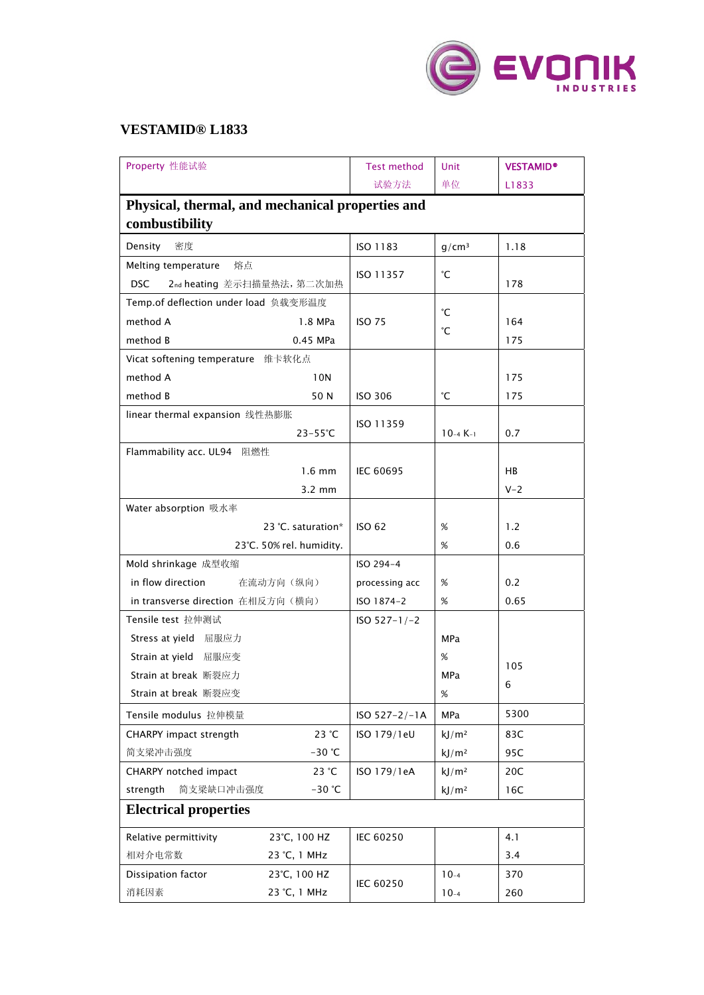

## **VESTAMID® L1833**

| Property 性能试验                                    | <b>Test method</b> | Unit              | <b>VESTAMID®</b> |  |  |  |  |
|--------------------------------------------------|--------------------|-------------------|------------------|--|--|--|--|
|                                                  | 试验方法               | 单位                | L1833            |  |  |  |  |
| Physical, thermal, and mechanical properties and |                    |                   |                  |  |  |  |  |
| combustibility                                   |                    |                   |                  |  |  |  |  |
| 密度<br>Density                                    | ISO 1183           | g/cm <sup>3</sup> | 1.18             |  |  |  |  |
| Melting temperature<br>熔点                        |                    |                   |                  |  |  |  |  |
| <b>DSC</b><br>2nd heating 差示扫描量热法, 第二次加热         | ISO 11357          | °С                | 178              |  |  |  |  |
| Temp.of deflection under load 负载变形温度             |                    | °С                |                  |  |  |  |  |
| method A<br>1.8 MPa                              | <b>ISO 75</b>      |                   | 164              |  |  |  |  |
| method B<br>0.45 MPa                             |                    | °С                | 175              |  |  |  |  |
| Vicat softening temperature 维卡软化点                |                    |                   |                  |  |  |  |  |
| method A<br>10N                                  |                    |                   | 175              |  |  |  |  |
| method B<br>50 N                                 | <b>ISO 306</b>     | °С                | 175              |  |  |  |  |
| linear thermal expansion 线性热膨胀                   |                    |                   |                  |  |  |  |  |
| $23 - 55^{\circ}C$                               | ISO 11359          | $10-4K-1$         | 0.7              |  |  |  |  |
| Flammability acc. UL94 阻燃性                       |                    |                   |                  |  |  |  |  |
| $1.6 \text{ mm}$                                 | <b>IEC 60695</b>   |                   | <b>HB</b>        |  |  |  |  |
| $3.2 \text{ mm}$                                 |                    |                   | $V - 2$          |  |  |  |  |
| Water absorption 吸水率                             |                    |                   |                  |  |  |  |  |
| 23 °C. saturation*                               | <b>ISO 62</b>      | $\%$              | 1.2              |  |  |  |  |
| 23°C. 50% rel. humidity.                         |                    | %                 | 0.6              |  |  |  |  |
| Mold shrinkage 成型收缩                              | ISO 294-4          |                   |                  |  |  |  |  |
| in flow direction<br>在流动方向(纵向)                   | processing acc     | %                 | 0.2              |  |  |  |  |
| in transverse direction 在相反方向(横向)                | ISO 1874-2         | $\%$              | 0.65             |  |  |  |  |
| Tensile test 拉伸测试                                | $ISO 527-1/-2$     |                   |                  |  |  |  |  |
| Stress at yield 屈服应力                             |                    | MPa               |                  |  |  |  |  |
| Strain at yield 屈服应变                             |                    | %                 | 105              |  |  |  |  |
| Strain at break 断裂应力                             |                    | MPa               | 6                |  |  |  |  |
| Strain at break 断裂应变                             |                    | %                 |                  |  |  |  |  |
| Tensile modulus 拉伸模量                             | ISO 527-2/-1A      | MPa               | 5300             |  |  |  |  |
| CHARPY impact strength<br>23 °C                  | ISO 179/1eU        | kJ/m <sup>2</sup> | 83C              |  |  |  |  |
| 简支梁冲击强度<br>$-30$ °C                              |                    | kJ/m <sup>2</sup> | 95C              |  |  |  |  |
| 23 °C<br>CHARPY notched impact                   | ISO 179/1eA        | kJ/m <sup>2</sup> | 20C              |  |  |  |  |
| strength<br>简支梁缺口冲击强度<br>$-30$ °C                |                    | kJ/m <sup>2</sup> | 16C              |  |  |  |  |
| <b>Electrical properties</b>                     |                    |                   |                  |  |  |  |  |
| Relative permittivity<br>23°C, 100 HZ            | IEC 60250          |                   | 4.1              |  |  |  |  |
| 相对介电常数<br>23 °C, 1 MHz                           |                    |                   | 3.4              |  |  |  |  |
| Dissipation factor<br>23°C, 100 HZ               | IEC 60250          | $10-4$            | 370              |  |  |  |  |
| 消耗因素<br>23 °C, 1 MHz                             |                    | $10-4$            | 260              |  |  |  |  |